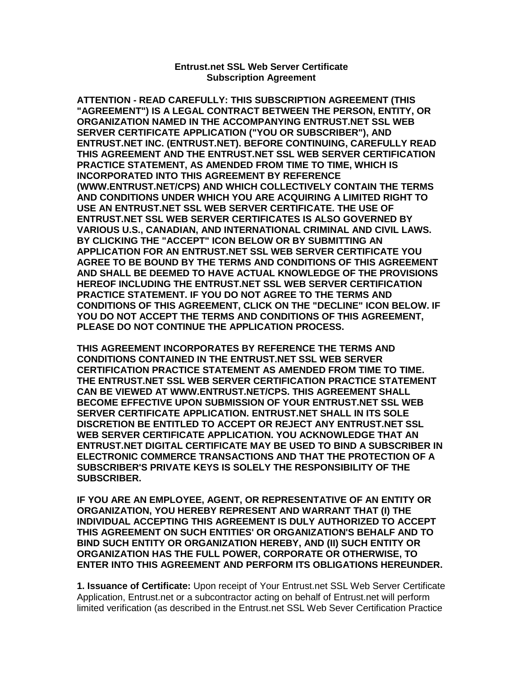## **Entrust.net SSL Web Server Certificate Subscription Agreement**

**ATTENTION - READ CAREFULLY: THIS SUBSCRIPTION AGREEMENT (THIS "AGREEMENT") IS A LEGAL CONTRACT BETWEEN THE PERSON, ENTITY, OR ORGANIZATION NAMED IN THE ACCOMPANYING ENTRUST.NET SSL WEB SERVER CERTIFICATE APPLICATION ("YOU OR SUBSCRIBER"), AND ENTRUST.NET INC. (ENTRUST.NET). BEFORE CONTINUING, CAREFULLY READ THIS AGREEMENT AND THE ENTRUST.NET SSL WEB SERVER CERTIFICATION PRACTICE STATEMENT, AS AMENDED FROM TIME TO TIME, WHICH IS INCORPORATED INTO THIS AGREEMENT BY REFERENCE (WWW.ENTRUST.NET/CPS) AND WHICH COLLECTIVELY CONTAIN THE TERMS AND CONDITIONS UNDER WHICH YOU ARE ACQUIRING A LIMITED RIGHT TO USE AN ENTRUST.NET SSL WEB SERVER CERTIFICATE. THE USE OF ENTRUST.NET SSL WEB SERVER CERTIFICATES IS ALSO GOVERNED BY VARIOUS U.S., CANADIAN, AND INTERNATIONAL CRIMINAL AND CIVIL LAWS. BY CLICKING THE "ACCEPT" ICON BELOW OR BY SUBMITTING AN APPLICATION FOR AN ENTRUST.NET SSL WEB SERVER CERTIFICATE YOU AGREE TO BE BOUND BY THE TERMS AND CONDITIONS OF THIS AGREEMENT AND SHALL BE DEEMED TO HAVE ACTUAL KNOWLEDGE OF THE PROVISIONS HEREOF INCLUDING THE ENTRUST.NET SSL WEB SERVER CERTIFICATION PRACTICE STATEMENT. IF YOU DO NOT AGREE TO THE TERMS AND CONDITIONS OF THIS AGREEMENT, CLICK ON THE "DECLINE" ICON BELOW. IF YOU DO NOT ACCEPT THE TERMS AND CONDITIONS OF THIS AGREEMENT, PLEASE DO NOT CONTINUE THE APPLICATION PROCESS.** 

**THIS AGREEMENT INCORPORATES BY REFERENCE THE TERMS AND CONDITIONS CONTAINED IN THE ENTRUST.NET SSL WEB SERVER CERTIFICATION PRACTICE STATEMENT AS AMENDED FROM TIME TO TIME. THE ENTRUST.NET SSL WEB SERVER CERTIFICATION PRACTICE STATEMENT CAN BE VIEWED AT WWW.ENTRUST.NET/CPS. THIS AGREEMENT SHALL BECOME EFFECTIVE UPON SUBMISSION OF YOUR ENTRUST.NET SSL WEB SERVER CERTIFICATE APPLICATION. ENTRUST.NET SHALL IN ITS SOLE DISCRETION BE ENTITLED TO ACCEPT OR REJECT ANY ENTRUST.NET SSL WEB SERVER CERTIFICATE APPLICATION. YOU ACKNOWLEDGE THAT AN ENTRUST.NET DIGITAL CERTIFICATE MAY BE USED TO BIND A SUBSCRIBER IN ELECTRONIC COMMERCE TRANSACTIONS AND THAT THE PROTECTION OF A SUBSCRIBER'S PRIVATE KEYS IS SOLELY THE RESPONSIBILITY OF THE SUBSCRIBER.** 

**IF YOU ARE AN EMPLOYEE, AGENT, OR REPRESENTATIVE OF AN ENTITY OR ORGANIZATION, YOU HEREBY REPRESENT AND WARRANT THAT (I) THE INDIVIDUAL ACCEPTING THIS AGREEMENT IS DULY AUTHORIZED TO ACCEPT THIS AGREEMENT ON SUCH ENTITIES' OR ORGANIZATION'S BEHALF AND TO BIND SUCH ENTITY OR ORGANIZATION HEREBY, AND (II) SUCH ENTITY OR ORGANIZATION HAS THE FULL POWER, CORPORATE OR OTHERWISE, TO ENTER INTO THIS AGREEMENT AND PERFORM ITS OBLIGATIONS HEREUNDER.** 

**1. Issuance of Certificate:** Upon receipt of Your Entrust.net SSL Web Server Certificate Application, Entrust.net or a subcontractor acting on behalf of Entrust.net will perform limited verification (as described in the Entrust.net SSL Web Sever Certification Practice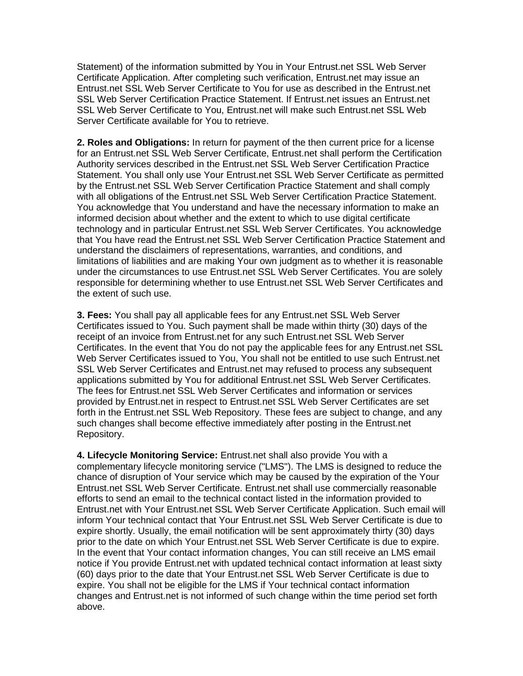Statement) of the information submitted by You in Your Entrust.net SSL Web Server Certificate Application. After completing such verification, Entrust.net may issue an Entrust.net SSL Web Server Certificate to You for use as described in the Entrust.net SSL Web Server Certification Practice Statement. If Entrust.net issues an Entrust.net SSL Web Server Certificate to You, Entrust.net will make such Entrust.net SSL Web Server Certificate available for You to retrieve.

**2. Roles and Obligations:** In return for payment of the then current price for a license for an Entrust.net SSL Web Server Certificate, Entrust.net shall perform the Certification Authority services described in the Entrust.net SSL Web Server Certification Practice Statement. You shall only use Your Entrust.net SSL Web Server Certificate as permitted by the Entrust.net SSL Web Server Certification Practice Statement and shall comply with all obligations of the Entrust.net SSL Web Server Certification Practice Statement. You acknowledge that You understand and have the necessary information to make an informed decision about whether and the extent to which to use digital certificate technology and in particular Entrust.net SSL Web Server Certificates. You acknowledge that You have read the Entrust.net SSL Web Server Certification Practice Statement and understand the disclaimers of representations, warranties, and conditions, and limitations of liabilities and are making Your own judgment as to whether it is reasonable under the circumstances to use Entrust.net SSL Web Server Certificates. You are solely responsible for determining whether to use Entrust.net SSL Web Server Certificates and the extent of such use.

**3. Fees:** You shall pay all applicable fees for any Entrust.net SSL Web Server Certificates issued to You. Such payment shall be made within thirty (30) days of the receipt of an invoice from Entrust.net for any such Entrust.net SSL Web Server Certificates. In the event that You do not pay the applicable fees for any Entrust.net SSL Web Server Certificates issued to You, You shall not be entitled to use such Entrust.net SSL Web Server Certificates and Entrust.net may refused to process any subsequent applications submitted by You for additional Entrust.net SSL Web Server Certificates. The fees for Entrust.net SSL Web Server Certificates and information or services provided by Entrust.net in respect to Entrust.net SSL Web Server Certificates are set forth in the Entrust.net SSL Web Repository. These fees are subject to change, and any such changes shall become effective immediately after posting in the Entrust.net Repository.

**4. Lifecycle Monitoring Service:** Entrust.net shall also provide You with a complementary lifecycle monitoring service ("LMS"). The LMS is designed to reduce the chance of disruption of Your service which may be caused by the expiration of the Your Entrust.net SSL Web Server Certificate. Entrust.net shall use commercially reasonable efforts to send an email to the technical contact listed in the information provided to Entrust.net with Your Entrust.net SSL Web Server Certificate Application. Such email will inform Your technical contact that Your Entrust.net SSL Web Server Certificate is due to expire shortly. Usually, the email notification will be sent approximately thirty (30) days prior to the date on which Your Entrust.net SSL Web Server Certificate is due to expire. In the event that Your contact information changes, You can still receive an LMS email notice if You provide Entrust.net with updated technical contact information at least sixty (60) days prior to the date that Your Entrust.net SSL Web Server Certificate is due to expire. You shall not be eligible for the LMS if Your technical contact information changes and Entrust.net is not informed of such change within the time period set forth above.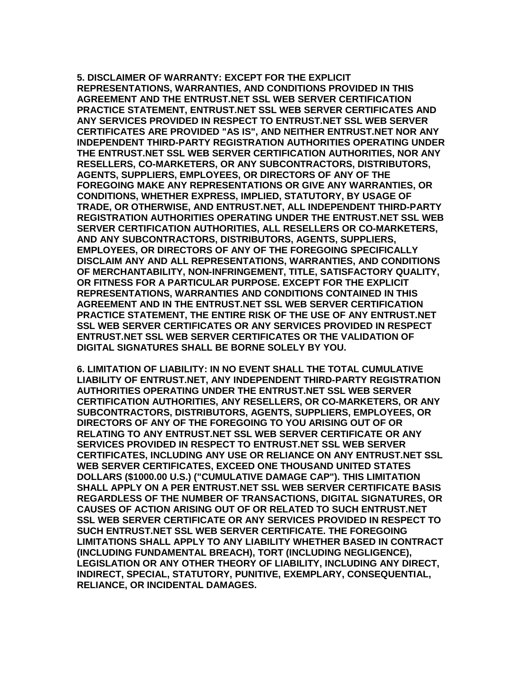**5. DISCLAIMER OF WARRANTY: EXCEPT FOR THE EXPLICIT REPRESENTATIONS, WARRANTIES, AND CONDITIONS PROVIDED IN THIS AGREEMENT AND THE ENTRUST.NET SSL WEB SERVER CERTIFICATION PRACTICE STATEMENT, ENTRUST.NET SSL WEB SERVER CERTIFICATES AND ANY SERVICES PROVIDED IN RESPECT TO ENTRUST.NET SSL WEB SERVER CERTIFICATES ARE PROVIDED "AS IS", AND NEITHER ENTRUST.NET NOR ANY INDEPENDENT THIRD-PARTY REGISTRATION AUTHORITIES OPERATING UNDER THE ENTRUST.NET SSL WEB SERVER CERTIFICATION AUTHORITIES, NOR ANY RESELLERS, CO-MARKETERS, OR ANY SUBCONTRACTORS, DISTRIBUTORS, AGENTS, SUPPLIERS, EMPLOYEES, OR DIRECTORS OF ANY OF THE FOREGOING MAKE ANY REPRESENTATIONS OR GIVE ANY WARRANTIES, OR CONDITIONS, WHETHER EXPRESS, IMPLIED, STATUTORY, BY USAGE OF TRADE, OR OTHERWISE, AND ENTRUST.NET, ALL INDEPENDENT THIRD-PARTY REGISTRATION AUTHORITIES OPERATING UNDER THE ENTRUST.NET SSL WEB SERVER CERTIFICATION AUTHORITIES, ALL RESELLERS OR CO-MARKETERS, AND ANY SUBCONTRACTORS, DISTRIBUTORS, AGENTS, SUPPLIERS, EMPLOYEES, OR DIRECTORS OF ANY OF THE FOREGOING SPECIFICALLY DISCLAIM ANY AND ALL REPRESENTATIONS, WARRANTIES, AND CONDITIONS OF MERCHANTABILITY, NON-INFRINGEMENT, TITLE, SATISFACTORY QUALITY, OR FITNESS FOR A PARTICULAR PURPOSE. EXCEPT FOR THE EXPLICIT REPRESENTATIONS, WARRANTIES AND CONDITIONS CONTAINED IN THIS AGREEMENT AND IN THE ENTRUST.NET SSL WEB SERVER CERTIFICATION PRACTICE STATEMENT, THE ENTIRE RISK OF THE USE OF ANY ENTRUST.NET SSL WEB SERVER CERTIFICATES OR ANY SERVICES PROVIDED IN RESPECT ENTRUST.NET SSL WEB SERVER CERTIFICATES OR THE VALIDATION OF DIGITAL SIGNATURES SHALL BE BORNE SOLELY BY YOU.**

**6. LIMITATION OF LIABILITY: IN NO EVENT SHALL THE TOTAL CUMULATIVE LIABILITY OF ENTRUST.NET, ANY INDEPENDENT THIRD-PARTY REGISTRATION AUTHORITIES OPERATING UNDER THE ENTRUST.NET SSL WEB SERVER CERTIFICATION AUTHORITIES, ANY RESELLERS, OR CO-MARKETERS, OR ANY SUBCONTRACTORS, DISTRIBUTORS, AGENTS, SUPPLIERS, EMPLOYEES, OR DIRECTORS OF ANY OF THE FOREGOING TO YOU ARISING OUT OF OR RELATING TO ANY ENTRUST.NET SSL WEB SERVER CERTIFICATE OR ANY SERVICES PROVIDED IN RESPECT TO ENTRUST.NET SSL WEB SERVER CERTIFICATES, INCLUDING ANY USE OR RELIANCE ON ANY ENTRUST.NET SSL WEB SERVER CERTIFICATES, EXCEED ONE THOUSAND UNITED STATES DOLLARS (\$1000.00 U.S.) ("CUMULATIVE DAMAGE CAP"). THIS LIMITATION SHALL APPLY ON A PER ENTRUST.NET SSL WEB SERVER CERTIFICATE BASIS REGARDLESS OF THE NUMBER OF TRANSACTIONS, DIGITAL SIGNATURES, OR CAUSES OF ACTION ARISING OUT OF OR RELATED TO SUCH ENTRUST.NET SSL WEB SERVER CERTIFICATE OR ANY SERVICES PROVIDED IN RESPECT TO SUCH ENTRUST.NET SSL WEB SERVER CERTIFICATE. THE FOREGOING LIMITATIONS SHALL APPLY TO ANY LIABILITY WHETHER BASED IN CONTRACT (INCLUDING FUNDAMENTAL BREACH), TORT (INCLUDING NEGLIGENCE), LEGISLATION OR ANY OTHER THEORY OF LIABILITY, INCLUDING ANY DIRECT, INDIRECT, SPECIAL, STATUTORY, PUNITIVE, EXEMPLARY, CONSEQUENTIAL, RELIANCE, OR INCIDENTAL DAMAGES.**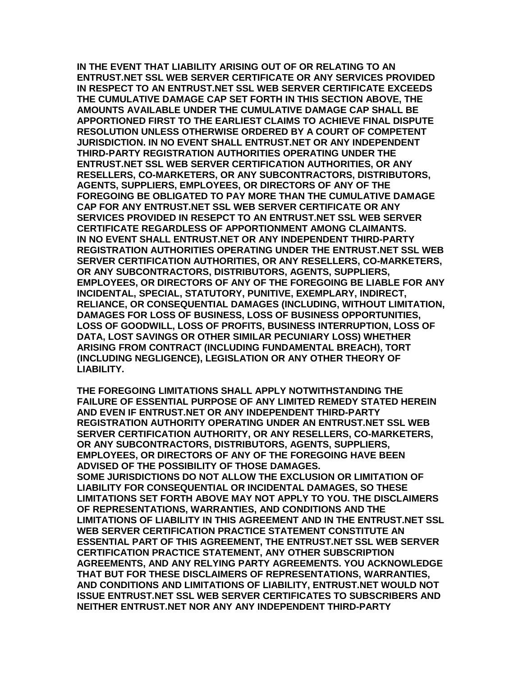**IN THE EVENT THAT LIABILITY ARISING OUT OF OR RELATING TO AN ENTRUST.NET SSL WEB SERVER CERTIFICATE OR ANY SERVICES PROVIDED IN RESPECT TO AN ENTRUST.NET SSL WEB SERVER CERTIFICATE EXCEEDS THE CUMULATIVE DAMAGE CAP SET FORTH IN THIS SECTION ABOVE, THE AMOUNTS AVAILABLE UNDER THE CUMULATIVE DAMAGE CAP SHALL BE APPORTIONED FIRST TO THE EARLIEST CLAIMS TO ACHIEVE FINAL DISPUTE RESOLUTION UNLESS OTHERWISE ORDERED BY A COURT OF COMPETENT JURISDICTION. IN NO EVENT SHALL ENTRUST.NET OR ANY INDEPENDENT THIRD-PARTY REGISTRATION AUTHORITIES OPERATING UNDER THE ENTRUST.NET SSL WEB SERVER CERTIFICATION AUTHORITIES, OR ANY RESELLERS, CO-MARKETERS, OR ANY SUBCONTRACTORS, DISTRIBUTORS, AGENTS, SUPPLIERS, EMPLOYEES, OR DIRECTORS OF ANY OF THE FOREGOING BE OBLIGATED TO PAY MORE THAN THE CUMULATIVE DAMAGE CAP FOR ANY ENTRUST.NET SSL WEB SERVER CERTIFICATE OR ANY SERVICES PROVIDED IN RESEPCT TO AN ENTRUST.NET SSL WEB SERVER CERTIFICATE REGARDLESS OF APPORTIONMENT AMONG CLAIMANTS. IN NO EVENT SHALL ENTRUST.NET OR ANY INDEPENDENT THIRD-PARTY REGISTRATION AUTHORITIES OPERATING UNDER THE ENTRUST.NET SSL WEB SERVER CERTIFICATION AUTHORITIES, OR ANY RESELLERS, CO-MARKETERS, OR ANY SUBCONTRACTORS, DISTRIBUTORS, AGENTS, SUPPLIERS, EMPLOYEES, OR DIRECTORS OF ANY OF THE FOREGOING BE LIABLE FOR ANY INCIDENTAL, SPECIAL, STATUTORY, PUNITIVE, EXEMPLARY, INDIRECT, RELIANCE, OR CONSEQUENTIAL DAMAGES (INCLUDING, WITHOUT LIMITATION, DAMAGES FOR LOSS OF BUSINESS, LOSS OF BUSINESS OPPORTUNITIES, LOSS OF GOODWILL, LOSS OF PROFITS, BUSINESS INTERRUPTION, LOSS OF DATA, LOST SAVINGS OR OTHER SIMILAR PECUNIARY LOSS) WHETHER ARISING FROM CONTRACT (INCLUDING FUNDAMENTAL BREACH), TORT (INCLUDING NEGLIGENCE), LEGISLATION OR ANY OTHER THEORY OF LIABILITY.** 

**THE FOREGOING LIMITATIONS SHALL APPLY NOTWITHSTANDING THE FAILURE OF ESSENTIAL PURPOSE OF ANY LIMITED REMEDY STATED HEREIN AND EVEN IF ENTRUST.NET OR ANY INDEPENDENT THIRD-PARTY REGISTRATION AUTHORITY OPERATING UNDER AN ENTRUST.NET SSL WEB SERVER CERTIFICATION AUTHORITY, OR ANY RESELLERS, CO-MARKETERS, OR ANY SUBCONTRACTORS, DISTRIBUTORS, AGENTS, SUPPLIERS, EMPLOYEES, OR DIRECTORS OF ANY OF THE FOREGOING HAVE BEEN ADVISED OF THE POSSIBILITY OF THOSE DAMAGES. SOME JURISDICTIONS DO NOT ALLOW THE EXCLUSION OR LIMITATION OF LIABILITY FOR CONSEQUENTIAL OR INCIDENTAL DAMAGES, SO THESE LIMITATIONS SET FORTH ABOVE MAY NOT APPLY TO YOU. THE DISCLAIMERS OF REPRESENTATIONS, WARRANTIES, AND CONDITIONS AND THE LIMITATIONS OF LIABILITY IN THIS AGREEMENT AND IN THE ENTRUST.NET SSL WEB SERVER CERTIFICATION PRACTICE STATEMENT CONSTITUTE AN ESSENTIAL PART OF THIS AGREEMENT, THE ENTRUST.NET SSL WEB SERVER CERTIFICATION PRACTICE STATEMENT, ANY OTHER SUBSCRIPTION AGREEMENTS, AND ANY RELYING PARTY AGREEMENTS. YOU ACKNOWLEDGE THAT BUT FOR THESE DISCLAIMERS OF REPRESENTATIONS, WARRANTIES, AND CONDITIONS AND LIMITATIONS OF LIABILITY, ENTRUST.NET WOULD NOT ISSUE ENTRUST.NET SSL WEB SERVER CERTIFICATES TO SUBSCRIBERS AND NEITHER ENTRUST.NET NOR ANY ANY INDEPENDENT THIRD-PARTY**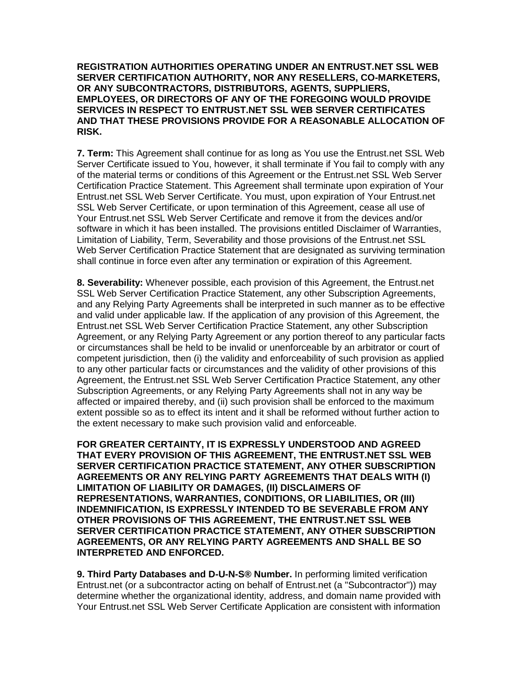**REGISTRATION AUTHORITIES OPERATING UNDER AN ENTRUST.NET SSL WEB SERVER CERTIFICATION AUTHORITY, NOR ANY RESELLERS, CO-MARKETERS, OR ANY SUBCONTRACTORS, DISTRIBUTORS, AGENTS, SUPPLIERS, EMPLOYEES, OR DIRECTORS OF ANY OF THE FOREGOING WOULD PROVIDE SERVICES IN RESPECT TO ENTRUST.NET SSL WEB SERVER CERTIFICATES AND THAT THESE PROVISIONS PROVIDE FOR A REASONABLE ALLOCATION OF RISK.** 

**7. Term:** This Agreement shall continue for as long as You use the Entrust.net SSL Web Server Certificate issued to You, however, it shall terminate if You fail to comply with any of the material terms or conditions of this Agreement or the Entrust.net SSL Web Server Certification Practice Statement. This Agreement shall terminate upon expiration of Your Entrust.net SSL Web Server Certificate. You must, upon expiration of Your Entrust.net SSL Web Server Certificate, or upon termination of this Agreement, cease all use of Your Entrust.net SSL Web Server Certificate and remove it from the devices and/or software in which it has been installed. The provisions entitled Disclaimer of Warranties, Limitation of Liability, Term, Severability and those provisions of the Entrust.net SSL Web Server Certification Practice Statement that are designated as surviving termination shall continue in force even after any termination or expiration of this Agreement.

**8. Severability:** Whenever possible, each provision of this Agreement, the Entrust.net SSL Web Server Certification Practice Statement, any other Subscription Agreements, and any Relying Party Agreements shall be interpreted in such manner as to be effective and valid under applicable law. If the application of any provision of this Agreement, the Entrust.net SSL Web Server Certification Practice Statement, any other Subscription Agreement, or any Relying Party Agreement or any portion thereof to any particular facts or circumstances shall be held to be invalid or unenforceable by an arbitrator or court of competent jurisdiction, then (i) the validity and enforceability of such provision as applied to any other particular facts or circumstances and the validity of other provisions of this Agreement, the Entrust.net SSL Web Server Certification Practice Statement, any other Subscription Agreements, or any Relying Party Agreements shall not in any way be affected or impaired thereby, and (ii) such provision shall be enforced to the maximum extent possible so as to effect its intent and it shall be reformed without further action to the extent necessary to make such provision valid and enforceable.

**FOR GREATER CERTAINTY, IT IS EXPRESSLY UNDERSTOOD AND AGREED THAT EVERY PROVISION OF THIS AGREEMENT, THE ENTRUST.NET SSL WEB SERVER CERTIFICATION PRACTICE STATEMENT, ANY OTHER SUBSCRIPTION AGREEMENTS OR ANY RELYING PARTY AGREEMENTS THAT DEALS WITH (I) LIMITATION OF LIABILITY OR DAMAGES, (II) DISCLAIMERS OF REPRESENTATIONS, WARRANTIES, CONDITIONS, OR LIABILITIES, OR (III) INDEMNIFICATION, IS EXPRESSLY INTENDED TO BE SEVERABLE FROM ANY OTHER PROVISIONS OF THIS AGREEMENT, THE ENTRUST.NET SSL WEB SERVER CERTIFICATION PRACTICE STATEMENT, ANY OTHER SUBSCRIPTION AGREEMENTS, OR ANY RELYING PARTY AGREEMENTS AND SHALL BE SO INTERPRETED AND ENFORCED.** 

**9. Third Party Databases and D-U-N-S® Number.** In performing limited verification Entrust.net (or a subcontractor acting on behalf of Entrust.net (a "Subcontractor")) may determine whether the organizational identity, address, and domain name provided with Your Entrust.net SSL Web Server Certificate Application are consistent with information